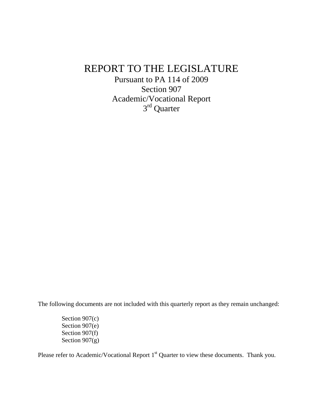## REPORT TO THE LEGISLATURE

Pursuant to PA 114 of 2009 Section 907 Academic/Vocational Report 3rd Quarter

The following documents are not included with this quarterly report as they remain unchanged:

Section 907(c) Section 907(e) Section 907(f) Section 907(g)

Please refer to Academic/Vocational Report 1<sup>st</sup> Quarter to view these documents. Thank you.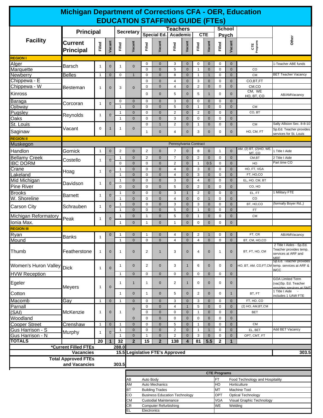| <b>Michigan Department of Corrections CFA - OER, Education</b> |                                             |                                                                            |                                                      |                              |                                                  |                |                              |                       |                                  |                               |                               |                            |                                                        |                                 |                                                                                         |  |
|----------------------------------------------------------------|---------------------------------------------|----------------------------------------------------------------------------|------------------------------------------------------|------------------------------|--------------------------------------------------|----------------|------------------------------|-----------------------|----------------------------------|-------------------------------|-------------------------------|----------------------------|--------------------------------------------------------|---------------------------------|-----------------------------------------------------------------------------------------|--|
| <b>EDUCATION STAFFING GUIDE (FTES)</b>                         |                                             |                                                                            |                                                      |                              |                                                  |                |                              |                       |                                  |                               |                               |                            |                                                        |                                 |                                                                                         |  |
| <b>Principal</b>                                               |                                             |                                                                            |                                                      | <b>Secretary</b>             |                                                  |                | <b>Teachers</b>              |                       |                                  |                               | <b>School</b><br><b>Psych</b> |                            |                                                        |                                 |                                                                                         |  |
| <b>Facility</b>                                                | <b>Current</b>                              |                                                                            |                                                      |                              |                                                  |                | Special Ed.                  | Academic              |                                  |                               | <b>CTE</b>                    |                            |                                                        |                                 | Other                                                                                   |  |
|                                                                | <b>Principal</b>                            | Filled                                                                     | Vacant                                               | Filled                       | Vacant                                           | Filled         | Vacant                       | Filled                | Vacant                           | Filled                        | Vacant                        | Filled                     | Vacant                                                 | CTE<br>Programs                 |                                                                                         |  |
| <b>REGION I</b>                                                |                                             |                                                                            |                                                      |                              |                                                  |                |                              |                       |                                  |                               |                               |                            |                                                        |                                 | 1-Teacher ABE funds                                                                     |  |
| Alger<br>Marquette                                             | <b>Barsch</b>                               | $\mathbf{1}$                                                               | $\mathbf 0$                                          | $\mathbf{1}$                 | $\mathbf 0$                                      | 0<br>0         | $\mathbf{0}$<br>$\mathbf{0}$ | 3<br>5                | $\overline{0}$<br>$\overline{0}$ | 0<br>$\overline{1}$           | $\mathbf{0}$<br>$\mathbf{0}$  | 0<br>$\mathbf 0$           | $\mathbf{0}$<br>$\mathbf{0}$                           | CO                              |                                                                                         |  |
| <b>Newberry</b>                                                | <b>Belles</b>                               | $\overline{1}$                                                             | $\mathbf 0$                                          | $\mathbf 0$                  | $\overline{1}$                                   | 0              | $\mathbf{0}$                 | 8                     | $\mathbf 0$                      | $\overline{1}$                | $\mathbf{1}$                  | 0                          | $\mathbf{0}$                                           | <b>CM</b>                       | <b>BET Teacher Vacancy</b>                                                              |  |
| Chippewa - E                                                   |                                             |                                                                            |                                                      |                              |                                                  | 0              | $\mathbf 0$                  | 4                     | $\mathbf 0$                      | 3                             | $\mathbf{0}$                  | 0                          | $\mathbf{0}$                                           | CO,BT,FT                        |                                                                                         |  |
| Chippewa - W                                                   | Besteman                                    | 1                                                                          | $\mathbf 0$                                          | 3                            | $\mathbf 0$                                      | 0              | $\mathbf{0}$                 | $\overline{4}$        | $\overline{0}$                   | $\overline{2}$                | $\mathbf{0}$                  | $\mathbf 0$                | $\mathbf{0}$                                           | CM,CO<br>CM, WE                 |                                                                                         |  |
| Kinross                                                        |                                             |                                                                            |                                                      |                              |                                                  | 0              | $\mathbf 0$                  | 5                     | $\mathbf{0}$                     | 5                             | $\mathbf{1}$                  | 0                          | $\mathbf 0$                                            | HO, BT, CO                      | AB/AMVacancy                                                                            |  |
| Baraga<br>Ojibway                                              | Corcoran                                    | $\mathbf{1}$                                                               | $\mathbf 0$                                          | 0<br>$\mathbf{1}$            | $\mathbf{0}$<br>$\mathbf{0}$                     | 0<br>$\pmb{0}$ | $\mathbf{0}$<br>$\mathbf{0}$ | 3<br>5                | $\mathbf 0$<br>$\mathbf 0$       | $\mathbf 0$<br>$\overline{1}$ | $\mathbf{0}$<br>$\mathbf{0}$  | $\mathbf 0$<br>$\mathbf 0$ | $\mathbf{0}$<br>$\mathbf{0}$                           | <b>CM</b>                       |                                                                                         |  |
| Pugsley                                                        |                                             | $\mathbf{1}$                                                               | $\mathbf 0$                                          | 1                            | $\mathbf{0}$                                     | 0              | $\mathbf 0$                  | $\overline{c}$        | $\mathbf 0$                      | $\overline{2}$                | $\mathbf{0}$                  | 0                          | $\mathbf{0}$                                           | CO, BT                          |                                                                                         |  |
| Oaks                                                           | Reynolds                                    |                                                                            |                                                      | 1                            | $\mathbf{0}$                                     | 0              | $\mathbf{0}$                 | 3                     | $\mathbf{0}$                     | $\mathbf 0$                   | $\mathbf{0}$                  | 0                          | $\mathbf{0}$                                           |                                 |                                                                                         |  |
| St. Louis                                                      | Vacant                                      | $\mathbf 0$                                                                | 1                                                    | 1                            | $\mathbf 0$                                      | 0              | $\mathbf{1}$                 | $\overline{2}$        | $\mathbf 0$                      | 1                             | $\mathbf{0}$                  | 0                          | $\mathbf 0$                                            | <b>CM</b>                       | Sally Allision Sec. 8-8-10<br>Sp.Ed. Teacher provides                                   |  |
| Saginaw                                                        |                                             |                                                                            |                                                      |                              |                                                  | $\mathbf{1}$   | $\mathbf 0$                  | 4                     | $\mathbf{0}$                     | 3                             | $\mathbf{0}$                  | 0                          | $\mathbf 0$                                            | HO, CM, FT                      | services for St. Louis                                                                  |  |
| <b>REGION II</b><br>Muskegon                                   |                                             |                                                                            |                                                      |                              |                                                  |                |                              | Pennsylvania Contract |                                  |                               |                               |                            |                                                        |                                 |                                                                                         |  |
| Handlon                                                        | Gornick                                     | $\mathbf{1}$                                                               | $\mathbf 0$                                          | $\overline{c}$               | $\mathbf 0$                                      | $\overline{a}$ | $\mathbf 0$                  | $\overline{7}$        | $\mathbf{0}$                     | 8                             | $\mathbf 0$                   | $\mathbf{1}$               | $\mathbf 0$                                            | AM, (2) BT, (2)HO, WE,          | 1 Title I Aide                                                                          |  |
| <b>Bellamy Creek</b>                                           |                                             |                                                                            |                                                      | 1                            | $\mathbf{0}$                                     | 2              | $\mathbf 0$                  | $\overline{7}$        | $\mathbf 0$                      | $\overline{2}$                | $\mathbf 0$                   | 0                          | $\mathbf{0}$                                           | MT. CO<br>CM,BT                 | 2 Title I Aide                                                                          |  |
| <b>IBC DORM</b>                                                | Costello                                    | 1                                                                          | $\mathbf 0$                                          | 0                            | $\overline{0}$                                   | 0              | $\mathbf 0$                  | $\overline{2}$        | $\mathbf 0$                      | $\mathbf{1}$                  | 0.5                           | 0                          | $\mathbf 0$                                            | HO                              | Part time CO                                                                            |  |
| Crane                                                          | Hoag                                        | 1                                                                          | $\mathbf{0}$                                         | 1                            | $\mathbf 0$                                      | 0              | $\mathbf 0$                  | 4                     | $\mathbf{0}$                     | 3                             | $\mathbf 0$                   | 0                          | $\mathbf 0$                                            | HO, FT, VGA                     |                                                                                         |  |
| <b>Lakeland</b><br>Mid Michigan                                |                                             |                                                                            |                                                      | $\mathbf{1}$<br>$\mathbf{1}$ | $\mathbf{0}$<br>$\mathbf{0}$                     | 0<br>0         | $\mathbf{0}$<br>$\mathbf{0}$ | $\overline{4}$<br>3   | $\mathbf{0}$<br>$\mathbf 0$      | 3<br>$\overline{4}$           | $\mathbf{0}$<br>$\mathbf{0}$  | 0<br>0                     | $\mathbf{0}$<br>$\mathbf{0}$                           | FT, HO,CO<br>EL, HO, CM, BT     |                                                                                         |  |
| <b>Pine River</b>                                              | Davidson                                    | 1                                                                          | $\mathbf 0$                                          | $\mathbf 0$                  | $\mathbf{0}$                                     | 0              | $\mathbf{0}$                 | 5                     | $\overline{0}$                   | 2                             | $\mathbf 0$                   | $\mathbf 0$                | $\mathbf{0}$                                           | CO, HO                          |                                                                                         |  |
| <b>Brooks</b>                                                  |                                             |                                                                            | $\mathbf 0$                                          | $\mathbf{1}$                 | $\mathbf{0}$                                     | 0              | $\mathbf{0}$                 | 3                     | $\mathbf{1}$                     | $\overline{2}$                | $\mathbf{0}$                  | 0                          | $\mathbf{0}$                                           | EL, FT                          | 1 Military FTE                                                                          |  |
| W. Shoreline                                                   | <b>Barnett</b>                              | 1                                                                          |                                                      | $\mathbf{1}$                 | $\mathbf{0}$                                     | 0              | $\mathbf{0}$                 | $\overline{4}$        | $\mathbf 0$                      | $\mathbf 0$                   | $\mathbf{1}$                  | $\mathbf 0$                | $\mathbf{0}$                                           | CO                              |                                                                                         |  |
| Carson City                                                    | Schrauben                                   | $\mathbf{1}$                                                               | $\mathbf{0}$                                         | $\mathbf{1}$<br>$\mathbf{1}$ | $\mathbf{0}$<br>$\mathbf{0}$                     | 0<br>0         | $\mathbf{0}$<br>$\mathbf{0}$ | 3<br>$\,$ 5 $\,$      | $\mathbf 0$<br>$\mathbf 0$       | 3<br>$\mathbf{1}$             | $\mathbf{0}$<br>$\mathbf{0}$  | $\mathbf 0$<br>$\mathbf 0$ | $\mathbf{0}$<br>$\mathbf{0}$                           | BT, HO,CO<br>FT                 | (formally Boyer Rd.,)                                                                   |  |
| Michigan Reformatory                                           | Peak                                        | 1                                                                          | 0                                                    | 1                            | $\mathbf{0}$                                     | 1              | $\mathbf{0}$                 | 5                     | $\mathbf 0$                      | 1                             | $\mathbf{0}$                  | 0                          | $\mathbf{0}$                                           | <b>CM</b>                       |                                                                                         |  |
| Ionia Max.                                                     |                                             |                                                                            |                                                      | $\mathbf{1}$                 | $\mathbf 0$                                      | 1              | $\mathbf{0}$                 | $\mathbf{1}$          | $\mathbf 0$                      | 0                             | $\mathbf{0}$                  | 0                          | $\mathbf 0$                                            |                                 |                                                                                         |  |
| <b>REGION III</b><br>Ryan                                      |                                             |                                                                            | $\mathbf 0$                                          | 1                            | $\mathbf 0$                                      | 1              | $\mathbf 0$                  | 4                     | $\mathbf 0$                      | 2                             | $\mathbf{1}$                  | 0                          | $\mathbf 0$                                            | FT, CR                          | AB/AMVacancy                                                                            |  |
| Mound                                                          | <b>Banks</b>                                | $\mathbf{1}$                                                               |                                                      | $\mathbf{1}$                 | $\mathbf{0}$                                     | 0              | $\mathbf{0}$                 | $\overline{4}$        | $\mathbf 0$                      | 4                             | $\mathbf 0$                   | 0                          | $\mathbf{0}$                                           | BT, CM, HO,CO                   |                                                                                         |  |
| Thumb                                                          | Featherstone                                | 1                                                                          | $\mathbf 0$                                          | $\mathbf{1}$                 | $\mathbf{0}$                                     | 2              | $\mathbf{1}$                 | 3                     | $\mathbf 0$                      | 4                             | $\mathbf{0}$                  | 1                          | $\mathbf 0$                                            | BT, FT, HO, CM                  | 2 Title I Aides - Sp.Ed.<br>Teacher provides temp.<br>services at ARF and<br><b>MRF</b> |  |
| Women's Huron Valley                                           | <b>Dick</b>                                 | $\mathbf{1}$                                                               | $\overline{0}$                                       | 1                            | $\overline{0}$                                   | $\overline{2}$ | $\mathbf 0$                  | 3                     | $\mathbf{1}$                     | 6                             | $\mathbf{0}$                  | 0                          | $\mathbf{0}$                                           |                                 | Sp.Ed. Teacher provides<br>HO, BT, AM, CO, FT, CM temp. services at ARF &               |  |
| <b>HVW Reception</b>                                           |                                             |                                                                            |                                                      | $\mathbf{1}$                 | $\mathbf 0$                                      | 0              | $\mathbf 0$                  | $\mathbf 0$           | $\mathbf 0$                      | $\mathbf 0$                   | $\mathbf{0}$                  | 0                          | $\mathbf{0}$                                           |                                 | <b>WCC</b>                                                                              |  |
| Egeler                                                         | <b>Meyers</b>                               | 1                                                                          | $\mathbf 0$                                          | $\mathbf{1}$                 | $\mathbf{1}$                                     | $\mathbf{1}$   | $\mathbf{0}$                 | $\overline{2}$        | $\mathbf{1}$                     | 0                             | $\mathbf{0}$                  | 0                          | $\mathbf 0$                                            |                                 | <b>GOA Limited Term</b><br>(vac)Sp. Ed. Teacher<br>provides services at SMT             |  |
| Cotton                                                         |                                             |                                                                            |                                                      | $\mathbf{1}$                 | $\mathbf{0}$                                     | $\mathbf{1}$   | $\mathbf 0$                  | 5                     | $\mathbf{0}$                     | $\overline{\mathbf{c}}$       | $\mathbf 0$                   | 0                          | $\mathbf{1}$                                           | BT, FT                          | 1 Title I Aide                                                                          |  |
| Macomb                                                         | Gay                                         | $\overline{1}$                                                             | $\mathbf 0$                                          | $\mathbf{1}$                 | $\mathbf{0}$                                     | 0              | $\mathbf{0}$                 | 3                     | $\mathbf 0$                      | 3                             | $\mathbf{0}$                  | 0                          | $\mathbf{0}$                                           | FT, HO, CO                      | includes 1 UAW FTE                                                                      |  |
| Parnall                                                        |                                             |                                                                            |                                                      |                              | $\mathbf 0$                                      | 0              | $\mathbf 0$                  | 4                     | $\mathbf{1}$                     | 5                             | $\mathbf 0$                   | 0                          | $\mathbf{0}$                                           | (2) HO, AM, BT, CM              |                                                                                         |  |
| (SAI)                                                          | McKenzie                                    | 1                                                                          | $\mathbf 0$                                          | 1                            |                                                  | 0              | $\mathbf 0$                  | 0                     | $\mathbf{0}$                     | $\mathbf{1}$                  | $\mathbf 0$                   | 0                          | $\mathbf 0$                                            | <b>BET</b>                      |                                                                                         |  |
| Woodland<br><b>Cooper Street</b>                               | Crenshaw                                    | $\mathbf{1}$                                                               | $\mathbf 0$                                          | $\mathbf{1}$                 | $\mathbf 0$<br>$\mathbf{0}$                      | 0<br>0         | $\mathbf 0$<br>$\mathbf{0}$  | 0<br>5                | $\mathbf{0}$<br>$\mathbf{0}$     | 0<br>$\mathbf{1}$             | $\mathbf 0$<br>$\mathbf 0$    | 0<br>0                     | $\mathbf 0$<br>$\mathbf{0}$                            | <b>CM</b>                       |                                                                                         |  |
| Gus Harrison - S                                               |                                             |                                                                            | $\overline{0}$                                       | $\mathbf{1}$                 | $\mathbf{0}$                                     | 0              | $\mathbf{0}$                 | $\overline{2}$        | $\mathbf{0}$                     | $\mathbf{1}$                  | $\mathbf{1}$                  | 0                          | $\overline{0}$                                         | EL, BET                         | Add BET Vacancy                                                                         |  |
| Gus Harrison - N                                               | Murphy                                      | $\mathbf 1$                                                                |                                                      | $\mathbf{1}$                 | $\overline{0}$                                   | $\mathbf{1}$   | $\mathbf{0}$                 | $\overline{2}$        | $\mathbf 0$                      | 3                             | $\mathbf{0}$                  | 0                          | $\mathbf{0}$                                           | OPT, CMT, FT                    |                                                                                         |  |
| <b>TOTALS</b>                                                  |                                             | 20                                                                         | $\mathbf{1}$                                         | 32                           | $\overline{2}$                                   | 15             | $\overline{2}$               | 138                   | 4                                | 81                            | 5.5                           | $\overline{2}$             | $\mathbf{1}$                                           |                                 |                                                                                         |  |
|                                                                | *Current Filled FTEs<br><b>Vacancies</b>    |                                                                            |                                                      | 288.0                        | 15.5 Legislative FTE's Approved                  |                |                              |                       |                                  |                               |                               |                            |                                                        |                                 | 303.5                                                                                   |  |
|                                                                | <b>Total Approved FTEs</b><br>and Vacancies |                                                                            |                                                      | 303.5                        |                                                  |                |                              |                       |                                  |                               |                               |                            |                                                        |                                 |                                                                                         |  |
|                                                                |                                             |                                                                            |                                                      |                              |                                                  |                |                              |                       |                                  |                               |                               | <b>CTE Programs</b>        |                                                        |                                 |                                                                                         |  |
|                                                                |                                             |                                                                            |                                                      |                              | AВ                                               | Auto Body      |                              |                       |                                  |                               |                               | FT                         |                                                        | Food Technology and Hospitality |                                                                                         |  |
|                                                                |                                             | AM                                                                         |                                                      | Auto Mechanics               |                                                  |                |                              |                       | HO                               |                               | Horticulture                  |                            |                                                        |                                 |                                                                                         |  |
|                                                                |                                             | BT<br><b>Building Trades</b><br>CO<br><b>Business Education Technology</b> |                                                      |                              |                                                  |                |                              |                       | MT<br>Machine Tool<br>OPT        |                               |                               |                            |                                                        |                                 |                                                                                         |  |
|                                                                |                                             |                                                                            |                                                      |                              | <b>CM</b><br>VGA<br><b>Custodial Maintenance</b> |                |                              |                       |                                  |                               |                               |                            | <b>Optical Technology</b><br>Visual Graphic Technology |                                 |                                                                                         |  |
|                                                                |                                             | <b>CR</b>                                                                  | <b>WE</b><br><b>Computer Refurbishing</b><br>Welding |                              |                                                  |                |                              |                       |                                  |                               |                               |                            |                                                        |                                 |                                                                                         |  |
|                                                                |                                             | EL.<br>Electronics                                                         |                                                      |                              |                                                  |                |                              |                       |                                  |                               |                               |                            |                                                        |                                 |                                                                                         |  |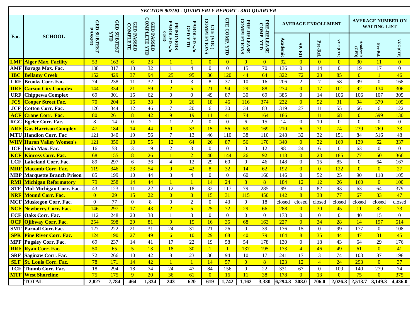| <b>SECTION 907(B) - QUARTERLY REPORT - 3RD QUARTER</b> |                                 |                                     |                |                               |                                                 |                  |                                                                                                                                                            |                          |                |                  |                |                           |                   |                 |                |                  |                                                 |                                         |
|--------------------------------------------------------|---------------------------------|-------------------------------------|----------------|-------------------------------|-------------------------------------------------|------------------|------------------------------------------------------------------------------------------------------------------------------------------------------------|--------------------------|----------------|------------------|----------------|---------------------------|-------------------|-----------------|----------------|------------------|-------------------------------------------------|-----------------------------------------|
|                                                        | <b>SCHOOL</b>                   |                                     | <b>GED</b>     |                               |                                                 |                  |                                                                                                                                                            |                          |                |                  |                | <b>AVERAGE ENROLLMENT</b> |                   |                 |                |                  | <b>AVERAGE NUMBER ON</b><br><b>WAITING LIST</b> |                                         |
| Fac.                                                   |                                 | <b>GED SUBTEST</b><br><b>PASSED</b> | SUBTEST<br>YTD | <b>GED PASSED</b><br>COMPLETE | <b>GED PASSED</b><br>COMPLETE YTI<br><b>TTD</b> | <b>GED</b>       | <b>CTE COMP. YTD</b><br><b>COMPLETIONS</b><br><b>CTE (VOC)<br/>COMPLETIONS</b><br>PRE-RELEASE<br>PAROLED w/o<br>PAROLED w/o<br><b>PRISONERS</b><br>GED YTD | PRE-RELEASE<br>COMP. YTD | Academic       | SP.<br>E         | Pre-Rel.       | VOC (CTE)                 | Academic<br>(GED) | Pre-Rel.        | VOC (CTE)      |                  |                                                 |                                         |
| <b>LMF</b>                                             | <b>Alger Max. Facility</b>      | 53                                  | 163            | 6 <sup>1</sup>                | 23                                              | $\mathbf{1}$     |                                                                                                                                                            | $\overline{0}$           | $\overline{0}$ | $\overline{0}$   | $\overline{0}$ | 92                        | $\overline{0}$    | $\overline{0}$  | $\overline{0}$ | 30               | <b>11</b>                                       | $\overline{0}$                          |
|                                                        | AMF Baraga Max. Fac.            | 138                                 | 317            | 13                            | 32                                              | $\mathbf{1}$     | $\overline{4}$                                                                                                                                             | $\mathbf{0}$             | $\overline{0}$ | 15               | 70             | 136                       | $\mathbf{0}$      | 14              | $\mathbf{0}$   | 19               | 17                                              | $\overline{0}$                          |
| <b>IBC</b>                                             | <b>Bellamy Creek</b>            | 152                                 | 429            | 37                            | 94                                              | 25               | 95                                                                                                                                                         | 36                       | 120            | 44               | 64             | 322                       | 72                | 23              | 85             | $\overline{0}$   | $\mathbf{1}$                                    | 46                                      |
| <b>LRF</b>                                             | <b>Brooks Corr. Fac.</b>        | 74                                  | 238            | 11                            | 32                                              | $\boldsymbol{0}$ | 3                                                                                                                                                          | 8                        | 37             | $10\,$           | 16             | 206                       | $\overline{2}$    | $\overline{7}$  | 58             | 99               | $\overline{0}$                                  | 168                                     |
| <b>DRF</b>                                             | <b>Carson City Complex</b>      | 144                                 | 334            | 21                            | 59                                              | $\overline{2}$   | $\overline{5}$                                                                                                                                             | 21                       | 94             | 29               | 88             | 274                       | $\overline{0}$    | 17              | 101            | 92               | 134                                             | 306                                     |
| <b>URF</b>                                             | <b>Chippewa Complex</b>         | 69                                  | 301            | 15                            | 62                                              | $\boldsymbol{0}$ | $\boldsymbol{0}$                                                                                                                                           | 49                       | 87             | 30               | 69             | 385                       | $\boldsymbol{0}$  | 14              | 106            | 106              | 107                                             | 305                                     |
| <b>JCS</b>                                             | <b>Cooper Street Fac.</b>       | 70                                  | 204            | 16                            | 38                                              | $\overline{0}$   | 26                                                                                                                                                         | 18                       | 46             | 116              | 374            | 232                       | $\overline{0}$    | 52              | 31             | 94               | 379                                             | 109                                     |
| <b>JCF</b>                                             | <b>Cotton Corr. Fac.</b>        | 126                                 | 344            | 12                            | 46                                              | $\tau$           | 20                                                                                                                                                         | 6                        | 30             | 34               | 83             | 319                       | 27                | 11              | 55             | 66               | 6                                               | 122                                     |
| <b>ACF</b>                                             | <b>Crane Corr. Fac.</b>         | 80                                  | 261            | $\overline{8}$                | 42                                              | $\overline{9}$   | 19                                                                                                                                                         | 11                       | 41             | 74               | 164            | 186                       | $\mathbf{1}$      | 11              | 68             | $\overline{0}$   | 599                                             | 130                                     |
|                                                        | RGC Egeler Corr. Fac.           | 8                                   | 14             | $\overline{0}$                | $\sqrt{2}$                                      | 1                | $\overline{c}$                                                                                                                                             | $\overline{0}$           | $\overline{0}$ | $6\,$            | 15             | 14                        | $\mathbf{0}$      | 10              | $\mathbf{0}$   | $\boldsymbol{0}$ | $\overline{0}$                                  | $\overline{0}$                          |
| <b>ARF</b>                                             | <b>Gus Harrison Complex</b>     | 47                                  | 184            | 14                            | 44                                              | $\overline{0}$   | 33                                                                                                                                                         | 15                       | 56             | 59               | 169            | 210                       | $6\overline{6}$   | 71              | 74             | 239              | 269                                             | 33                                      |
|                                                        | <b>MTU</b> Handlon Corr. Fac    | 121                                 | 340            | 19                            | 56                                              | $\boldsymbol{7}$ | $\overline{13}$                                                                                                                                            | 46                       | 110            | $\overline{38}$  | 110            | 248                       | $\overline{32}$   | $\overline{32}$ | 151            | 84               | 516                                             | 48                                      |
|                                                        | <b>WHV</b> Huron Valley Women's | 121                                 | 350            | 18                            | 55                                              | 12               | 64                                                                                                                                                         | 26                       | 87             | 56               | 170            | 340                       | $\overline{0}$    | 32              | 169            | 139              | 62                                              | 337                                     |
| <b>ICF</b>                                             | Ionia Max. Fac.                 | 16                                  | 58             | 3                             | 19                                              | $\sqrt{2}$       | 3                                                                                                                                                          | $\overline{0}$           | $\overline{0}$ | $\boldsymbol{0}$ | 12             | 98                        | 24                | 6               | $\mathbf{0}$   | 63               | $\overline{0}$                                  | $\overline{0}$                          |
| <b>KCF</b>                                             | <b>Kinross Corr. Fac.</b>       | 68                                  | 155            | $\overline{8}$                | 26                                              | $\mathbf{1}$     | $\overline{2}$                                                                                                                                             | 40                       | 144            | 26               | 92             | 118                       | $\overline{0}$    | 23              | 185            | 77               | 50                                              | 366                                     |
| <b>LCF</b>                                             | <b>Lakeland Corr. Fac.</b>      | 89                                  | 297            | 6                             | 36                                              | $\overline{4}$   | 12                                                                                                                                                         | 29                       | 60             | $\boldsymbol{0}$ | 46             | 148                       | $\mathbf{0}$      | 15              | 85             | $\boldsymbol{0}$ | 64                                              | 167                                     |
| <b>MRF</b>                                             | <b>Macomb Corr. Fac.</b>        | 119                                 | 346            | 23                            | 54                                              | 9 <sup>°</sup>   | 42                                                                                                                                                         | $\sqrt{8}$               | 32             | 14               | 62             | 192                       | $\overline{0}$    | $\overline{0}$  | 122            | $\overline{0}$   | $\overline{0}$                                  | 27                                      |
| <b>MBP</b>                                             | <b>Marquette Branch Prison</b>  | 85                                  | 199            | 10                            | 44                                              | $\mathfrak{Z}$   | $\overline{4}$                                                                                                                                             | $\mathbf{0}$             | $\overline{0}$ | 60               | 160            | 146                       | $\mathbf{0}$      | 52              | 25             | 90               | 118                                             | 105                                     |
| <b>RMI</b>                                             | <b>Michigan Reformatory</b>     | 79                                  | 258            | 14                            | 44                                              | $\overline{1}$   | $\mathbf{1}$                                                                                                                                               | 14                       | 24             | $\overline{8}$   | 8 <sup>°</sup> | 184                       | 12                | 12              | 26             | 160              | $\overline{0}$                                  | 100                                     |
| <b>STF</b>                                             | Mid-Michigan Corr. Fac.         | 43                                  | 123            | 11                            | 22                                              | 12               | 18                                                                                                                                                         | 32                       | 117            | 79               | 285            | 99                        | $\mathbf{0}$      | 82              | 93             | 63               | 64                                              | 379                                     |
| <b>NRF</b>                                             | <b>Mound Corr. Fac.</b>         | $\overline{0}$                      | 29             | 15                            | 22                                              | $\overline{0}$   | 3 <sup>1</sup>                                                                                                                                             | 15                       | 31             | 115              | 450            | 142                       | $\sqrt{8}$        | 38              | 77             | 67               | 33                                              | 47                                      |
| <b>MCF</b>                                             | Muskegon Corr. Fac.             | $\boldsymbol{0}$                    | 77             | $\overline{0}$                | 8                                               | $\boldsymbol{0}$ | $\sqrt{2}$                                                                                                                                                 | $\overline{0}$           | 43             | $\boldsymbol{0}$ | 18             | closed                    | closed            | closed          | closed         | closed           | closed                                          | closed                                  |
| <b>NCF</b>                                             | <b>Newberry Corr. Fac.</b>      | 146                                 | 297            | 17                            | 43                                              | $\overline{2}$   | $\overline{5}$                                                                                                                                             | 25                       | 72             | 29               | 66             | 288                       | $\overline{0}$    | 30              | 45             | 11               | 82                                              | 73                                      |
| <b>ECF</b>                                             | Oaks Corr. Fac.                 | 112                                 | 248            | 20                            | 38                                              | $\mathbf{1}$     | $\overline{3}$                                                                                                                                             | $\mathbf{0}$             | $\overline{0}$ | $\boldsymbol{0}$ | $\overline{0}$ | 173                       | $\boldsymbol{0}$  | $\overline{0}$  | $\mathbf{0}$   | 40               | 15                                              | $\mathbf{0}$                            |
| <b>OCF</b>                                             | <b>Ojibway Corr. Fac.</b>       | 254                                 | 598            | 29                            | 81                                              | 9                | 15                                                                                                                                                         | 16                       | 35             | 68               | 163            | 227                       | $\overline{0}$    | 34              | 28             | 14               | 197                                             | 514                                     |
| <b>SMT</b>                                             | <b>Parnall Corr.Fac.</b>        | 127                                 | 222            | 21                            | 31                                              | 24               | 31                                                                                                                                                         | 21                       | 26             | $\boldsymbol{0}$ | 39             | 176                       | 15                | $\overline{0}$  | 99             | 177              | $\overline{0}$                                  | 108                                     |
| <b>SPR</b>                                             | <b>Pine River Corr. Fac.</b>    | 124                                 | 190            | 27                            | 49                                              | $\overline{6}$   | 10                                                                                                                                                         | 29                       | 68             | 40               | 79             | 164                       | $\overline{8}$    | 35              | 44             | 47               | 31                                              | 45                                      |
|                                                        | <b>MPF</b> Pugsley Corr. Fac.   | 69                                  | 237            | 14                            | 41                                              | 17               | $22\,$                                                                                                                                                     | 19                       | 58             | 54               | 178            | 130                       | $\Omega$          | 18              | 43             | 64               | 29                                              | 176                                     |
|                                                        | <b>RRF Ryan Corr. Fac.</b>      | 50                                  | 65             | $\overline{5}$                | 13                                              | 18               | 30 <sup>°</sup>                                                                                                                                            | $\mathbf{1}$             |                | 137              | 195            | 173                       | $\overline{4}$    | 46              | 49             | 61               | $\overline{0}$                                  | 41                                      |
|                                                        | <b>SRF</b> Saginaw Corr. Fac.   | $72\,$                              | 266            | 10                            | 42                                              | $8\,$            | 23                                                                                                                                                         | 36                       | 94             | $10\,$           | 17             | 241                       | 17                | 3               | 74             | 103              | 87                                              | 198                                     |
|                                                        | <b>SLF St. Louis Corr. Fac.</b> | 78                                  | 171            | 14                            | 42                                              | $\overline{1}$   | $\mathbf{1}$                                                                                                                                               | 14                       | 57             | $\overline{0}$   | 8 <sup>2</sup> | 123                       | 12                | $\overline{4}$  | 24             | 293              | $\overline{0}$                                  | 37                                      |
|                                                        | <b>TCF</b> Thumb Corr. Fac.     | 18                                  | 294            | 18                            | 74                                              | 24               | 47                                                                                                                                                         | 84                       | 156            | $\overline{0}$   | 22             | 331                       | 67                | $\overline{0}$  | 109            | 140              | 279                                             | 74                                      |
|                                                        | <b>MTF West Shoreline</b>       | 75                                  | 175            | $\overline{9}$                | $\overline{20}$                                 | 36               | 61                                                                                                                                                         | $\overline{0}$           | 16             | $\overline{11}$  | 38             | 178                       | $\overline{0}$    | 13              | $\overline{0}$ | 75               | $\overline{0}$                                  | 375                                     |
|                                                        | <b>TOTAL</b>                    | 2,827                               | 7,784          | 464                           | 1,334                                           | 243              | 620                                                                                                                                                        | 619                      | 1,742          | 1,162            |                | 3,330 6,294.3 308.0       |                   | 706.0           |                |                  |                                                 | $2,026.3$ $2,513.7$ $3,149.3$ $4,436.0$ |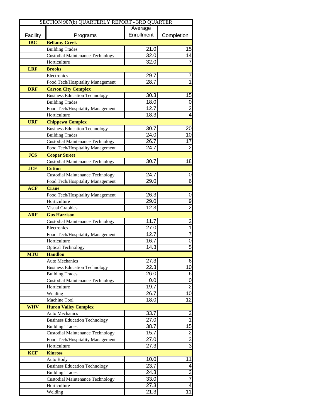| SECTION 907(b) QUARTERLY REPORT - 3RD QUARTER |                                         |                   |                         |  |  |  |  |  |  |
|-----------------------------------------------|-----------------------------------------|-------------------|-------------------------|--|--|--|--|--|--|
|                                               |                                         | Average           |                         |  |  |  |  |  |  |
| Facility                                      | Programs                                | Enrollment        | Completion              |  |  |  |  |  |  |
| <b>IBC</b>                                    | <b>Bellamy Creek</b>                    |                   |                         |  |  |  |  |  |  |
|                                               | <b>Building Trades</b>                  | 21.0              | 15                      |  |  |  |  |  |  |
|                                               | <b>Custodial Maintenance Technology</b> | 32.0              | 14                      |  |  |  |  |  |  |
|                                               | Horticulture                            | 32.0              | $\overline{7}$          |  |  |  |  |  |  |
| <b>LRF</b>                                    | <b>Brooks</b>                           |                   |                         |  |  |  |  |  |  |
|                                               | Electronics                             | 29.7              | 7                       |  |  |  |  |  |  |
|                                               | Food Tech/Hospitality Management        | 28.7              | $\overline{1}$          |  |  |  |  |  |  |
| <b>DRF</b>                                    | <b>Carson City Complex</b>              |                   |                         |  |  |  |  |  |  |
|                                               | <b>Business Education Technology</b>    | 30.3              | 15                      |  |  |  |  |  |  |
|                                               | <b>Building Trades</b>                  | 18.0              | $\overline{0}$          |  |  |  |  |  |  |
|                                               | Food Tech/Hospitality Management        | 12.7              | $\frac{2}{4}$           |  |  |  |  |  |  |
|                                               | Horticulture                            | $18.\overline{3}$ |                         |  |  |  |  |  |  |
| <b>URF</b>                                    | <b>Chippewa Complex</b>                 |                   |                         |  |  |  |  |  |  |
|                                               | <b>Business Education Technology</b>    | 30.7              | 20                      |  |  |  |  |  |  |
|                                               | <b>Building Trades</b>                  | 24.0              | 10                      |  |  |  |  |  |  |
|                                               | <b>Custodial Maintenance Technology</b> | 26.7              | 17                      |  |  |  |  |  |  |
|                                               | Food Tech/Hospitality Management        | $\overline{24.7}$ | $\overline{2}$          |  |  |  |  |  |  |
| <b>JCS</b>                                    | <b>Cooper Street</b>                    |                   |                         |  |  |  |  |  |  |
|                                               | <b>Custodial Maintenance Technology</b> | 30.7              | 18                      |  |  |  |  |  |  |
| <b>JCF</b>                                    | <b>Cotton</b>                           |                   |                         |  |  |  |  |  |  |
|                                               | <b>Custodial Maintenance Technology</b> | 24.7              | 0                       |  |  |  |  |  |  |
|                                               | Food Tech/Hospitality Management        | 29.0              | 6                       |  |  |  |  |  |  |
| <b>ACF</b>                                    | <b>Crane</b>                            |                   |                         |  |  |  |  |  |  |
|                                               | Food Tech/Hospitality Management        | 26.3              | $\mathbf 0$             |  |  |  |  |  |  |
|                                               | Horticulture                            | 29.0              |                         |  |  |  |  |  |  |
|                                               | <b>Visual Graphics</b>                  | 12.3              | $\frac{1}{2}$           |  |  |  |  |  |  |
| <b>ARF</b>                                    | <b>Gus Harrison</b>                     |                   |                         |  |  |  |  |  |  |
|                                               | <b>Custodial Maintenance Technology</b> | 11.7              | $\overline{2}$          |  |  |  |  |  |  |
|                                               | Electronics                             | 27.0              | $\overline{1}$          |  |  |  |  |  |  |
|                                               | Food Tech/Hospitality Management        | 12.7              | $\overline{7}$          |  |  |  |  |  |  |
|                                               | Horticulture                            | 16.7              | $\frac{0}{5}$           |  |  |  |  |  |  |
|                                               | <b>Optical Technology</b>               | 14.3              |                         |  |  |  |  |  |  |
| <b>MTU</b>                                    | <b>Handlon</b>                          |                   |                         |  |  |  |  |  |  |
|                                               | <b>Auto Mechanics</b>                   | $\overline{2}7.3$ | $6 \,$                  |  |  |  |  |  |  |
|                                               | <b>Business Education Technology</b>    | 22.3              | 10                      |  |  |  |  |  |  |
|                                               | <b>Building Trades</b>                  | 26.0              | $\overline{6}$          |  |  |  |  |  |  |
|                                               | <b>Custodial Maintenance Technology</b> | 0.0               | $\overline{0}$          |  |  |  |  |  |  |
|                                               | Horticulture                            | 19.7              | $\overline{2}$          |  |  |  |  |  |  |
|                                               | Welding                                 | 26.7              | 10                      |  |  |  |  |  |  |
|                                               | Machine Tool                            | 18.0              | 12                      |  |  |  |  |  |  |
| <b>WHV</b>                                    | <b>Huron Valley Complex</b>             |                   |                         |  |  |  |  |  |  |
|                                               | <b>Auto Mechanics</b>                   | 33.7              | $\frac{2}{1}$           |  |  |  |  |  |  |
|                                               | <b>Business Education Technology</b>    | 27.0              |                         |  |  |  |  |  |  |
|                                               | <b>Building Trades</b>                  | 38.7              | $\overline{15}$         |  |  |  |  |  |  |
|                                               | <b>Custodial Maintenance Technology</b> | 15.7              |                         |  |  |  |  |  |  |
|                                               | Food Tech/Hospitality Management        | 27.0              | ا دا دی                 |  |  |  |  |  |  |
|                                               | Horticulture                            | 27.3              |                         |  |  |  |  |  |  |
| <b>KCF</b>                                    | <b>Kinross</b>                          |                   |                         |  |  |  |  |  |  |
|                                               | Auto Body                               | 10.0              | 11                      |  |  |  |  |  |  |
|                                               | <b>Business Education Technology</b>    | 23.7              | $\overline{\mathbf{A}}$ |  |  |  |  |  |  |
|                                               | <b>Building Trades</b>                  | 24.3              | سا ہہ                   |  |  |  |  |  |  |
|                                               | <b>Custodial Maintenance Technology</b> | 33.0              | $\overline{4}$          |  |  |  |  |  |  |
|                                               | Horticulture                            | 27.3              | 11                      |  |  |  |  |  |  |
|                                               | Welding                                 | 21.3              |                         |  |  |  |  |  |  |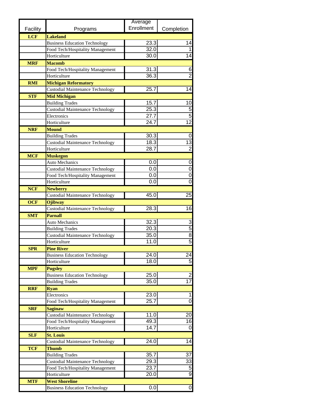|            |                                         | Average    |                             |
|------------|-----------------------------------------|------------|-----------------------------|
| Facility   | Programs                                | Enrollment | Completion                  |
| <b>LCF</b> | <b>Lakeland</b>                         |            |                             |
|            | <b>Business Education Technology</b>    | 23.3       | 14                          |
|            | Food Tech/Hospitality Management        | 32.0       |                             |
|            | Horticulture                            | 30.0       | 14                          |
| <b>MRF</b> | <b>Macomb</b>                           |            |                             |
|            | Food Tech/Hospitality Management        | 31.3       | 6                           |
|            | Horticulture                            | 36.3       | $\overline{2}$              |
| <b>RMI</b> | <b>Michigan Reformatory</b>             |            |                             |
|            | <b>Custodial Maintenance Technology</b> | 25.7       | 14                          |
| <b>STF</b> | <b>Mid Michigan</b>                     |            |                             |
|            | <b>Building Trades</b>                  | 15.7       | 10                          |
|            | <b>Custodial Maintenance Technology</b> | 25.3       | $\overline{5}$              |
|            | Electronics                             | 27.7       | $\overline{5}$              |
|            | Horticulture                            | 24.7       | $\overline{12}$             |
| <b>NRF</b> | <b>Mound</b>                            |            |                             |
|            | <b>Building Trades</b>                  | 30.3       | 0                           |
|            | <b>Custodial Maintenance Technology</b> | 18.3       | $\overline{13}$             |
|            | Horticulture                            | 28.7       | $\overline{2}$              |
| <b>MCF</b> | <b>Muskegon</b>                         |            |                             |
|            | <b>Auto Mechanics</b>                   | 0.0        | 0                           |
|            | <b>Custodial Maintenance Technology</b> | 0.0        | 0                           |
|            | Food Tech/Hospitality Management        | 0.0        | 0                           |
|            | Horticulture                            | 0.0        | $\overline{0}$              |
| <b>NCF</b> | <b>Newberry</b>                         |            |                             |
|            | <b>Custodial Maintenance Technology</b> | 45.0       | $\overline{25}$             |
| <b>OCF</b> | Ojibway                                 |            |                             |
|            | <b>Custodial Maintenance Technology</b> | 28.3       | 16                          |
| <b>SMT</b> | Parnall                                 |            |                             |
|            | <b>Auto Mechanics</b>                   | 32.3       |                             |
|            | <b>Building Trades</b>                  | 20.3       | $\frac{3}{5}$ $\frac{8}{5}$ |
|            | <b>Custodial Maintenance Technology</b> | 35.0       |                             |
|            | Horticulture                            | 11.0       |                             |
| <b>SPR</b> | <b>Pine River</b>                       |            |                             |
|            | <b>Business Education Technology</b>    | 24.0       | 24                          |
|            | Horticulture                            | 18.0       | $\overline{5}$              |
| <b>MPF</b> | <b>Pugsley</b>                          |            |                             |
|            | <b>Business Education Technology</b>    | 25.0       | $\overline{\mathbf{c}}$     |
|            | <b>Building Trades</b>                  | 35.0       | $\overline{17}$             |
| <b>RRF</b> | <b>Ryan</b>                             |            |                             |
|            | Electronics                             | 23.0       | 1                           |
|            | Food Tech/Hospitality Management        | 25.7       | $\overline{0}$              |
| <b>SRF</b> | <b>Saginaw</b>                          |            |                             |
|            | <b>Custodial Maintenance Technology</b> | 11.0       | $\overline{20}$             |
|            | Food Tech/Hospitality Management        | 49.3       | 16                          |
|            | Horticulture                            | 14.7       | 0                           |
| <b>SLF</b> | <b>St. Louis</b>                        |            |                             |
|            | <b>Custodial Maintenance Technology</b> | 24.0       | 14                          |
| <b>TCF</b> | <b>Thumb</b>                            |            |                             |
|            | <b>Building Trades</b>                  | 35.7       | 37                          |
|            | <b>Custodial Maintenance Technology</b> | 29.3       | 33                          |
|            | Food Tech/Hospitality Management        | 23.7       | <u>ဖ</u>                    |
|            | Horticulture                            | 20.0       |                             |
| <b>MTF</b> | <b>West Shoreline</b>                   |            |                             |
|            | <b>Business Education Technology</b>    | 0.0        | $\overline{0}$              |